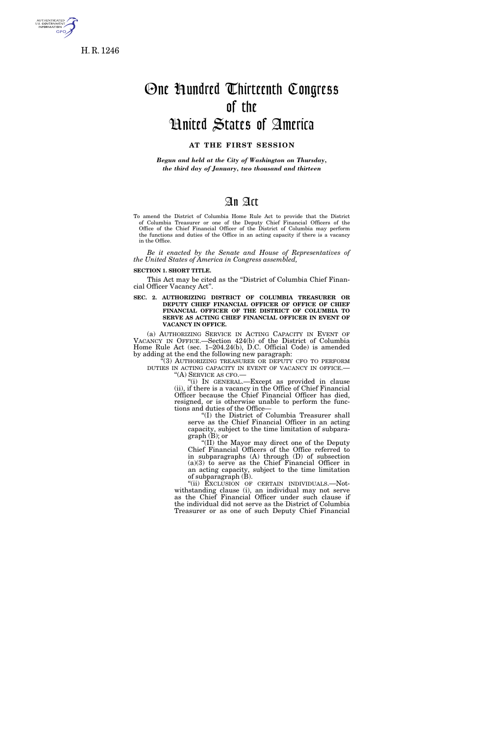

H. R. 1246

# One Hundred Thirteenth Congress of the

## United States of America

### **AT THE FIRST SESSION**

*Begun and held at the City of Washington on Thursday, the third day of January, two thousand and thirteen* 

## An Act

To amend the District of Columbia Home Rule Act to provide that the District of Columbia Treasurer or one of the Deputy Chief Financial Officers of the Office of the Chief Financial Officer of the District of Columbia may perform the functions and duties of the Office in an acting capacity if there is a vacancy in the Office.

*Be it enacted by the Senate and House of Representatives of the United States of America in Congress assembled,* 

### **SECTION 1. SHORT TITLE.**

This Act may be cited as the "District of Columbia Chief Financial Officer Vacancy Act''.

**SEC. 2. AUTHORIZING DISTRICT OF COLUMBIA TREASURER OR DEPUTY CHIEF FINANCIAL OFFICER OF OFFICE OF CHIEF FINANCIAL OFFICER OF THE DISTRICT OF COLUMBIA TO SERVE AS ACTING CHIEF FINANCIAL OFFICER IN EVENT OF VACANCY IN OFFICE.** 

(a) AUTHORIZING SERVICE IN ACTING CAPACITY IN EVENT OF VACANCY IN OFFICE.—Section 424(b) of the District of Columbia Home Rule Act (sec. 1–204.24(b), D.C. Official Code) is amended by adding at the end the following new paragraph:

''(3) AUTHORIZING TREASURER OR DEPUTY CFO TO PERFORM DUTIES IN ACTING CAPACITY IN EVENT OF VACANCY IN OFFICE.—<br>"(A) SERVICE AS CFO.—<br>"(i) IN GENERAL.—Except as provided in clause

(ii), if there is a vacancy in the Office of Chief Financial Officer because the Chief Financial Officer has died, resigned, or is otherwise unable to perform the functions and duties of the Office—

''(I) the District of Columbia Treasurer shall serve as the Chief Financial Officer in an acting capacity, subject to the time limitation of subparagraph (B); or

''(II) the Mayor may direct one of the Deputy Chief Financial Officers of the Office referred to in subparagraphs (A) through (D) of subsection (a)(3) to serve as the Chief Financial Officer in an acting capacity, subject to the time limitation of subparagraph (B).

''(ii) EXCLUSION OF CERTAIN INDIVIDUALS.—Notwithstanding clause (i), an individual may not serve as the Chief Financial Officer under such clause if the individual did not serve as the District of Columbia Treasurer or as one of such Deputy Chief Financial